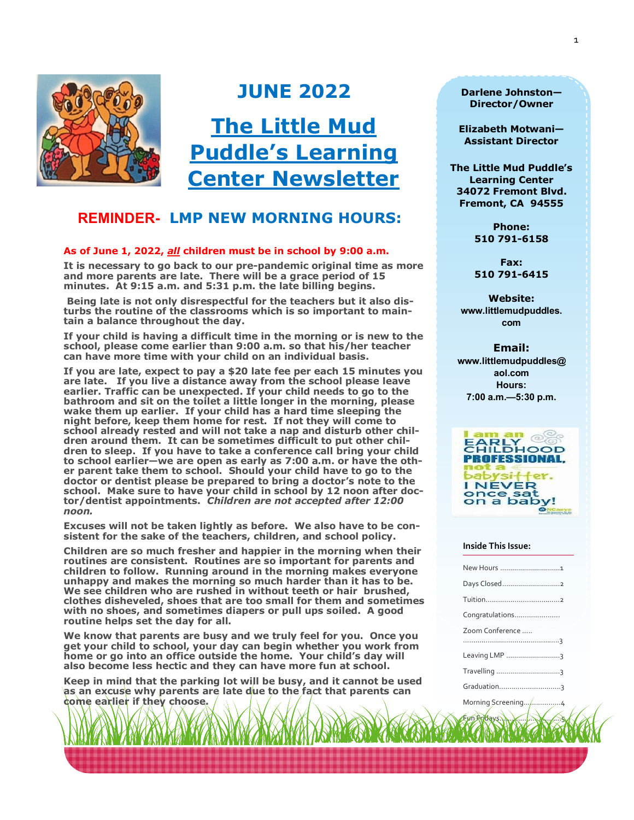

# **JUNE 2022**

**The Little Mud Puddle's Learning Center Newsletter**

# **REMINDER- LMP NEW MORNING HOURS:**

#### **As of June 1, 2022,** *all* **children must be in school by 9:00 a.m.**

**It is necessary to go back to our pre-pandemic original time as more and more parents are late. There will be a grace period of 15 minutes. At 9:15 a.m. and 5:31 p.m. the late billing begins.** 

**Being late is not only disrespectful for the teachers but it also disturbs the routine of the classrooms which is so important to maintain a balance throughout the day.**

**If your child is having a difficult time in the morning or is new to the school, please come earlier than 9:00 a.m. so that his/her teacher can have more time with your child on an individual basis.** 

**If you are late, expect to pay a \$20 late fee per each 15 minutes you are late. If you live a distance away from the school please leave earlier. Traffic can be unexpected. If your child needs to go to the bathroom and sit on the toilet a little longer in the morning, please wake them up earlier. If your child has a hard time sleeping the night before, keep them home for rest. If not they will come to school already rested and will not take a nap and disturb other children around them. It can be sometimes difficult to put other children to sleep. If you have to take a conference call bring your child to school earlier—we are open as early as 7:00 a.m. or have the other parent take them to school. Should your child have to go to the doctor or dentist please be prepared to bring a doctor's note to the school. Make sure to have your child in school by 12 noon after doctor/dentist appointments.** *Children are not accepted after 12:00 noon.*

**Excuses will not be taken lightly as before. We also have to be consistent for the sake of the teachers, children, and school policy.**

**Children are so much fresher and happier in the morning when their routines are consistent. Routines are so important for parents and children to follow. Running around in the morning makes everyone unhappy and makes the morning so much harder than it has to be. We see children who are rushed in without teeth or hair brushed, clothes disheveled, shoes that are too small for them and sometimes with no shoes, and sometimes diapers or pull ups soiled. A good routine helps set the day for all.** 

**We know that parents are busy and we truly feel for you. Once you get your child to school, your day can begin whether you work from home or go into an office outside the home. Your child's day will also become less hectic and they can have more fun at school.** 

**Keep in mind that the parking lot will be busy, and it cannot be used as an excuse why parents are late due to the fact that parents can come earlier if they choose.**

**Darlene Johnston— Director/Owner**

**Elizabeth Motwani— Assistant Director** 

**The Little Mud Puddle's Learning Center 34072 Fremont Blvd. Fremont, CA 94555**

> **Phone: 510 791-6158**

**Fax: 510 791-6415**

**Website: www.littlemudpuddles. com**

**Email: www.littlemudpuddles@ aol.com Hours: 7:00 a.m.—5:30 p.m.**



#### **Inside This Issue:**

| New Hours 1     |
|-----------------|
|                 |
|                 |
| Congratulations |
| Zoom Conference |
|                 |
| Leaving LMP 3   |
| Travelling 3    |
|                 |

Fun Fridays…………….…………..5

Morning Screening...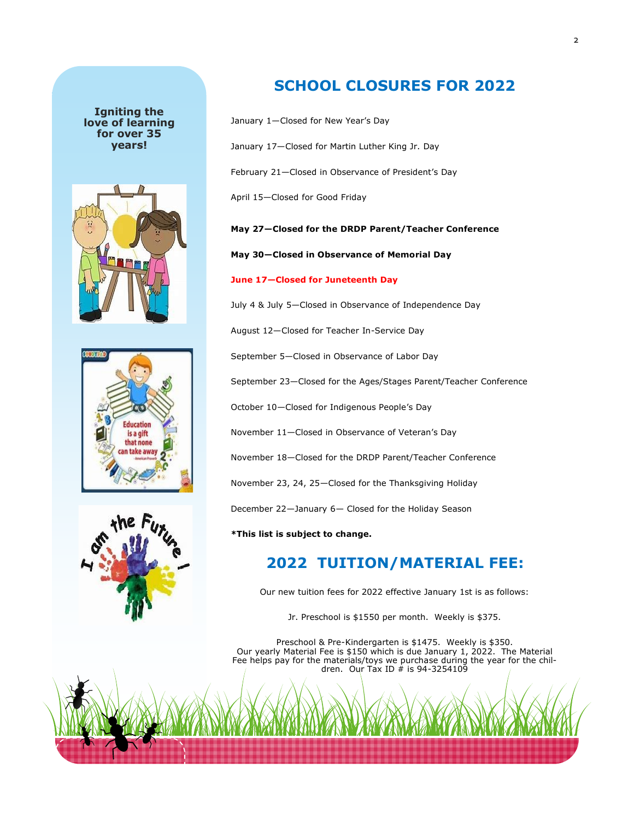#### **Igniting the love of learning for over 35 years!**







# **SCHOOL CLOSURES FOR 2022**

- January 1—Closed for New Year's Day
- January 17—Closed for Martin Luther King Jr. Day
- February 21—Closed in Observance of President's Day
- April 15—Closed for Good Friday

**May 27—Closed for the DRDP Parent/Teacher Conference**

**May 30—Closed in Observance of Memorial Day**

#### **June 17—Closed for Juneteenth Day**

July 4 & July 5—Closed in Observance of Independence Day

August 12—Closed for Teacher In-Service Day

September 5—Closed in Observance of Labor Day

September 23—Closed for the Ages/Stages Parent/Teacher Conference

October 10—Closed for Indigenous People's Day

November 11—Closed in Observance of Veteran's Day

November 18—Closed for the DRDP Parent/Teacher Conference

November 23, 24, 25—Closed for the Thanksgiving Holiday

December 22—January 6— Closed for the Holiday Season

**\*This list is subject to change.** 

# **2022 TUITION/MATERIAL FEE:**

Our new tuition fees for 2022 effective January 1st is as follows:

Jr. Preschool is \$1550 per month. Weekly is \$375.

Preschool & Pre-Kindergarten is \$1475. Weekly is \$350. Our yearly Material Fee is \$150 which is due January 1, 2022. The Material Fee helps pay for the materials/toys we purchase during the year for the children. Our Tax ID  $#$  is 94-3254109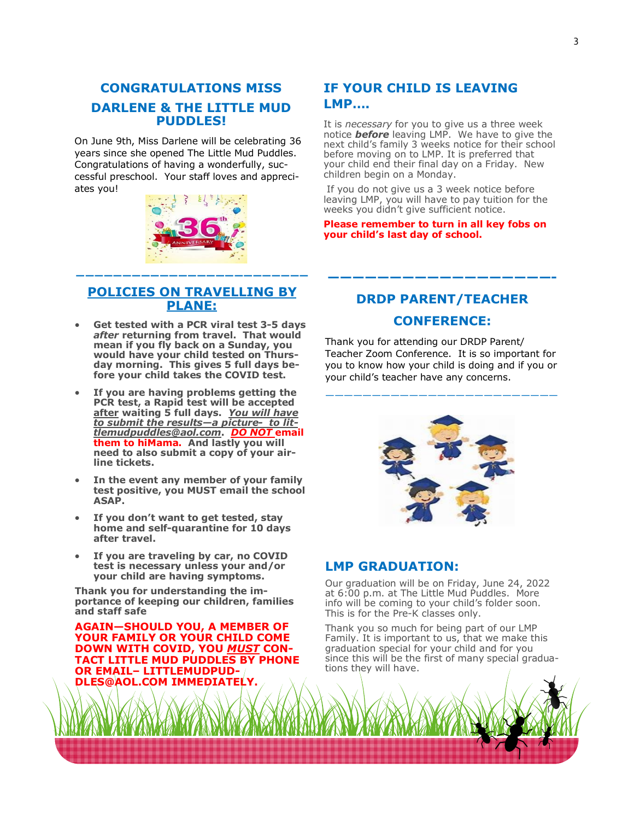# **CONGRATULATIONS MISS DARLENE & THE LITTLE MUD PUDDLES!**

On June 9th, Miss Darlene will be celebrating 36 years since she opened The Little Mud Puddles. Congratulations of having a wonderfully, successful preschool. Your staff loves and appreciates you!



## **POLICIES ON TRAVELLING BY PLANE:**

**—————————————————————————** 

- **Get tested with a PCR viral test 3-5 days**  *after* **returning from travel. That would mean if you fly back on a Sunday, you would have your child tested on Thursday morning. This gives 5 full days before your child takes the COVID test.**
- **If you are having problems getting the PCR test, a Rapid test will be accepted after waiting 5 full days.** *You will have to submit the results—a picture- to littlemudpuddles@aol.com***.** *DO NOT* **email them to hiMama. And lastly you will need to also submit a copy of your airline tickets.**
- **In the event any member of your family test positive, you MUST email the school ASAP.**
- **If you don't want to get tested, stay home and self-quarantine for 10 days after travel.**
- **If you are traveling by car, no COVID test is necessary unless your and/or your child are having symptoms.**

**Thank you for understanding the importance of keeping our children, families and staff safe** 

**AGAIN—SHOULD YOU, A MEMBER OF YOUR FAMILY OR YOUR CHILD COME DOWN WITH COVID, YOU** *MUST* **CON-TACT LITTLE MUD PUDDLES BY PHONE OR EMAIL– LITTLEMUDPUD-DLES@AOL.COM IMMEDIATELY.**

# **IF YOUR CHILD IS LEAVING LMP….**

It is *necessary* for you to give us a three week notice *before* leaving LMP. We have to give the next child's family 3 weeks notice for their school before moving on to LMP. It is preferred that your child end their final day on a Friday. New children begin on a Monday.

If you do not give us a 3 week notice before leaving LMP, you will have to pay tuition for the weeks you didn't give sufficient notice.

#### **Please remember to turn in all key fobs on your child's last day of school.**

# **DRDP PARENT/TEACHER**

**——————————————————-**

## **CONFERENCE:**

Thank you for attending our DRDP Parent/ Teacher Zoom Conference. It is so important for you to know how your child is doing and if you or your child's teacher have any concerns.

—————————————————————————

## **LMP GRADUATION:**

Our graduation will be on Friday, June 24, 2022 at 6:00 p.m. at The Little Mud Puddles. More info will be coming to your child's folder soon. This is for the Pre-K classes only.

Thank you so much for being part of our LMP Family. It is important to us, that we make this graduation special for your child and for you since this will be the first of many special graduations they will have.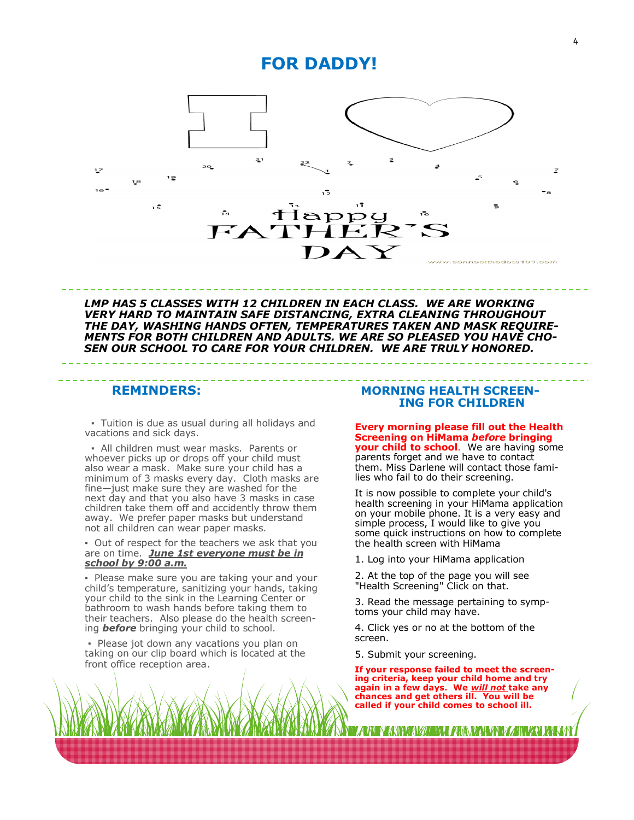# **FOR DADDY!**



**THE READERT TO CATCH THE READERT TO CATCH THE READERT MENTS FOR BOTH CHILDREN AND ADULTS. WE ARE SO PLEASED YOU HAVE CHO***story here." SEN OUR SCHOOL TO CARE FOR YOUR CHILDREN. WE ARE TRULY HONORED. LMP HAS 5 CLASSES WITH 12 CHILDREN IN EACH CLASS. WE ARE WORKING VERY HARD TO MAINTAIN SAFE DISTANCING, EXTRA CLEANING THROUGHOUT THE DAY, WASHING HANDS OFTEN, TEMPERATURES TAKEN AND MASK REQUIRE-*

 **▪** Tuition is due as usual during all holidays and vacations and sick days.

 ▪ All children must wear masks. Parents or whoever picks up or drops off your child must also wear a mask. Make sure your child has a minimum of 3 masks every day. Cloth masks are fine—just make sure they are washed for the next day and that you also have 3 masks in case children take them off and accidently throw them away. We prefer paper masks but understand not all children can wear paper masks.

▪ Out of respect for the teachers we ask that you are on time. *June 1st everyone must be in school by 9:00 a.m.* 

▪ Please make sure you are taking your and your child's temperature, sanitizing your hands, taking your child to the sink in the Learning Center or bathroom to wash hands before taking them to their teachers. Also please do the health screening *before* bringing your child to school.

▪ Please jot down any vacations you plan on taking on our clip board which is located at the front office reception area.

### **REMINDERS: MORNING HEALTH SCREEN- ING FOR CHILDREN**

**Every morning please fill out the Health Screening on HiMama** *before* **bringing your child to school**. We are having some parents forget and we have to contact them. Miss Darlene will contact those families who fail to do their screening.

It is now possible to complete your child's health screening in your HiMama application on your mobile phone. It is a very easy and simple process, I would like to give you some quick instructions on how to complete the health screen with HiMama

1. Log into your HiMama application

2. At the top of the page you will see "Health Screening" Click on that.

3. Read the message pertaining to symptoms your child may have.

4. Click yes or no at the bottom of the screen.

5. Submit your screening.

**If your response failed to meet the screening criteria, keep your child home and try again in a few days. We** *will not* **take any chances and get others ill. You will be called if your child comes to school ill.**